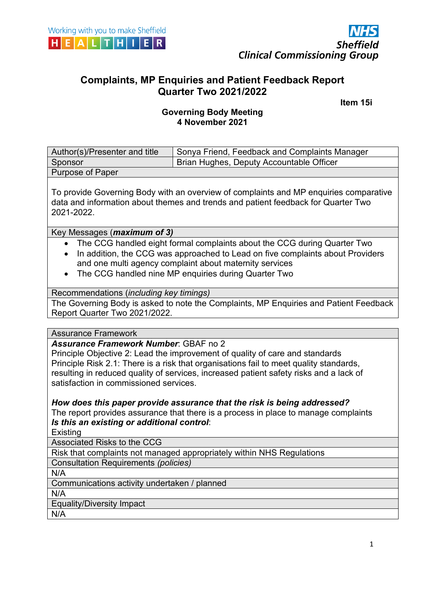



# **Complaints, MP Enquiries and Patient Feedback Report Quarter Two 2021/2022**

 **Item 15i**

## **Governing Body Meeting 4 November 2021**

| Author(s)/Presenter and title | Sonya Friend, Feedback and Complaints Manager |
|-------------------------------|-----------------------------------------------|
| Sponsor                       | Brian Hughes, Deputy Accountable Officer      |
| <b>Purpose of Paper</b>       |                                               |

To provide Governing Body with an overview of complaints and MP enquiries comparative data and information about themes and trends and patient feedback for Quarter Two 2021-2022.

#### Key Messages (*maximum of 3)*

- The CCG handled eight formal complaints about the CCG during Quarter Two
- In addition, the CCG was approached to Lead on five complaints about Providers and one multi agency complaint about maternity services
- The CCG handled nine MP enquiries during Quarter Two

#### Recommendations (*including key timings)*

The Governing Body is asked to note the Complaints, MP Enquiries and Patient Feedback Report Quarter Two 2021/2022.

#### Assurance Framework

#### *Assurance Framework Number*: GBAF no 2

Principle Objective 2: Lead the improvement of quality of care and standards Principle Risk 2.1: There is a risk that organisations fail to meet quality standards, resulting in reduced quality of services, increased patient safety risks and a lack of satisfaction in commissioned services.

*How does this paper provide assurance that the risk is being addressed?*  The report provides assurance that there is a process in place to manage complaints *Is this an existing or additional control*:

**Existing** 

Associated Risks to the CCG

Risk that complaints not managed appropriately within NHS Regulations

Consultation Requirements *(policies)*

N/A

Communications activity undertaken / planned

N/A

Equality/Diversity Impact

N/A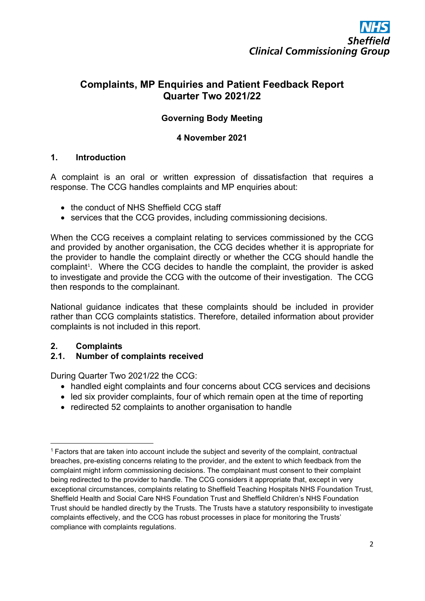# **Complaints, MP Enquiries and Patient Feedback Report Quarter Two 2021/22**

# **Governing Body Meeting**

### **4 November 2021**

#### **1. Introduction**

A complaint is an oral or written expression of dissatisfaction that requires a response. The CCG handles complaints and MP enquiries about:

- the conduct of NHS Sheffield CCG staff
- services that the CCG provides, including commissioning decisions.

When the CCG receives a complaint relating to services commissioned by the CCG and provided by another organisation, the CCG decides whether it is appropriate for the provider to handle the complaint directly or whether the CCG should handle the complaint<sup>[1](#page-1-0)</sup>. Where the CCG decides to handle the complaint, the provider is asked to investigate and provide the CCG with the outcome of their investigation. The CCG then responds to the complainant.

National guidance indicates that these complaints should be included in provider rather than CCG complaints statistics. Therefore, detailed information about provider complaints is not included in this report.

# **2. Complaints**

# **2.1. Number of complaints received**

During Quarter Two 2021/22 the CCG:

- handled eight complaints and four concerns about CCG services and decisions
- led six provider complaints, four of which remain open at the time of reporting
- redirected 52 complaints to another organisation to handle

<span id="page-1-0"></span><sup>1</sup> Factors that are taken into account include the subject and severity of the complaint, contractual breaches, pre-existing concerns relating to the provider, and the extent to which feedback from the complaint might inform commissioning decisions. The complainant must consent to their complaint being redirected to the provider to handle. The CCG considers it appropriate that, except in very exceptional circumstances, complaints relating to Sheffield Teaching Hospitals NHS Foundation Trust, Sheffield Health and Social Care NHS Foundation Trust and Sheffield Children's NHS Foundation Trust should be handled directly by the Trusts. The Trusts have a statutory responsibility to investigate complaints effectively, and the CCG has robust processes in place for monitoring the Trusts' compliance with complaints regulations.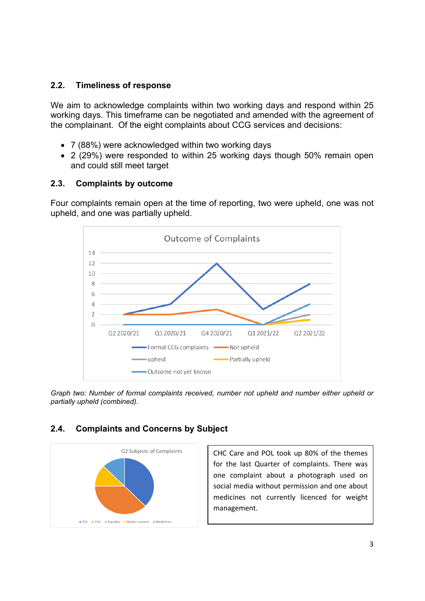#### **2.2. Timeliness of response**

We aim to acknowledge complaints within two working days and respond within 25 working days. This timeframe can be negotiated and amended with the agreement of the complainant. Of the eight complaints about CCG services and decisions:

- 7 (88%) were acknowledged within two working days
- 2 (29%) were responded to within 25 working days though 50% remain open and could still meet target

#### **2.3. Complaints by outcome**

Four complaints remain open at the time of reporting, two were upheld, one was not upheld, and one was partially upheld.



*Graph two: Number of formal complaints received, number not upheld and number either upheld or partially upheld (combined).*

#### **2.4. Complaints and Concerns by Subject**

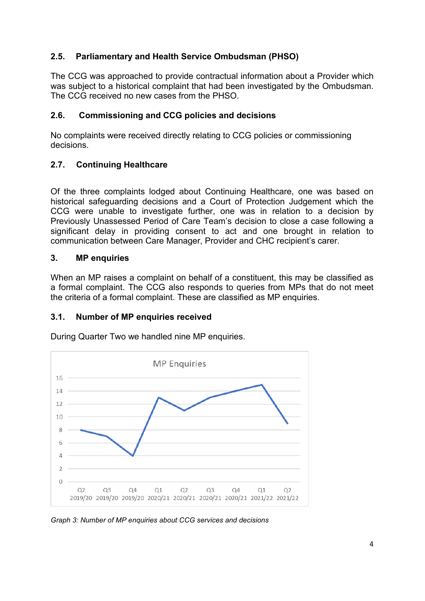## **2.5. Parliamentary and Health Service Ombudsman (PHSO)**

The CCG was approached to provide contractual information about a Provider which was subject to a historical complaint that had been investigated by the Ombudsman. The CCG received no new cases from the PHSO.

### **2.6. Commissioning and CCG policies and decisions**

No complaints were received directly relating to CCG policies or commissioning decisions.

# **2.7. Continuing Healthcare**

Of the three complaints lodged about Continuing Healthcare, one was based on historical safeguarding decisions and a Court of Protection Judgement which the CCG were unable to investigate further, one was in relation to a decision by Previously Unassessed Period of Care Team's decision to close a case following a significant delay in providing consent to act and one brought in relation to communication between Care Manager, Provider and CHC recipient's carer.

#### **3. MP enquiries**

When an MP raises a complaint on behalf of a constituent, this may be classified as a formal complaint. The CCG also responds to queries from MPs that do not meet the criteria of a formal complaint. These are classified as MP enquiries.

#### **3.1. Number of MP enquiries received**



During Quarter Two we handled nine MP enquiries.

*Graph 3: Number of MP enquiries about CCG services and decisions*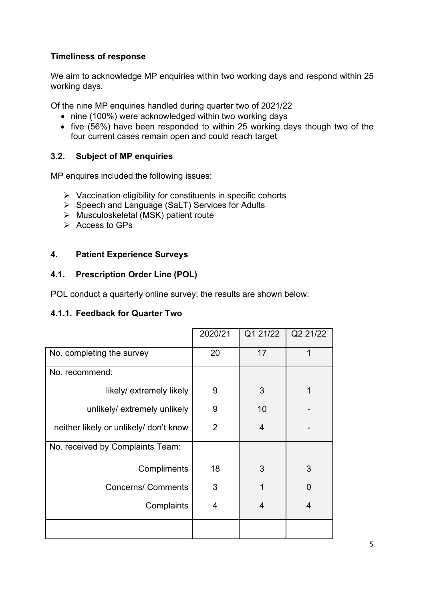## **Timeliness of response**

We aim to acknowledge MP enquiries within two working days and respond within 25 working days.

Of the nine MP enquiries handled during quarter two of 2021/22

- nine (100%) were acknowledged within two working days
- five (56%) have been responded to within 25 working days though two of the four current cases remain open and could reach target

#### **3.2. Subject of MP enquiries**

MP enquires included the following issues:

- $\triangleright$  Vaccination eligibility for constituents in specific cohorts
- $\triangleright$  Speech and Language (SaLT) Services for Adults
- $\triangleright$  Musculoskeletal (MSK) patient route
- $\triangleright$  Access to GPs

#### **4. Patient Experience Surveys**

#### **4.1. Prescription Order Line (POL)**

POL conduct a quarterly online survey; the results are shown below:

#### **4.1.1. Feedback for Quarter Two**

|                                        | 2020/21        | Q1 21/22 | Q2 21/22 |
|----------------------------------------|----------------|----------|----------|
| No. completing the survey              | 20             | 17       | 1        |
| No. recommend:                         |                |          |          |
| likely/ extremely likely               | 9              | 3        | 1        |
| unlikely/extremely unlikely            | 9              | 10       |          |
| neither likely or unlikely/ don't know | $\overline{2}$ | 4        |          |
| No. received by Complaints Team:       |                |          |          |
| Compliments                            | 18             | 3        | 3        |
| <b>Concerns/ Comments</b>              | 3              | 1        | $\Omega$ |
| Complaints                             | 4              | 4        | 4        |
|                                        |                |          |          |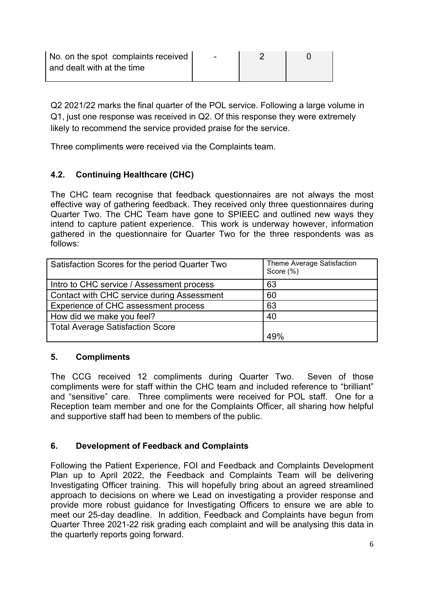| No. on the spot complaints received |  |  |
|-------------------------------------|--|--|
| and dealt with at the time          |  |  |
|                                     |  |  |

Q2 2021/22 marks the final quarter of the POL service. Following a large volume in Q1, just one response was received in Q2. Of this response they were extremely likely to recommend the service provided praise for the service.

Three compliments were received via the Complaints team.

## **4.2. Continuing Healthcare (CHC)**

The CHC team recognise that feedback questionnaires are not always the most effective way of gathering feedback. They received only three questionnaires during Quarter Two. The CHC Team have gone to SPIEEC and outlined new ways they intend to capture patient experience. This work is underway however, information gathered in the questionnaire for Quarter Two for the three respondents was as follows:

| Satisfaction Scores for the period Quarter Two | Theme Average Satisfaction<br>Score (%) |
|------------------------------------------------|-----------------------------------------|
| Intro to CHC service / Assessment process      | 63                                      |
| Contact with CHC service during Assessment     | 60                                      |
| Experience of CHC assessment process           | 63                                      |
| How did we make you feel?                      | 40                                      |
| <b>Total Average Satisfaction Score</b>        |                                         |
|                                                | $\Delta Q\%$                            |

#### **5. Compliments**

The CCG received 12 compliments during Quarter Two. Seven of those compliments were for staff within the CHC team and included reference to "brilliant" and "sensitive" care. Three compliments were received for POL staff. One for a Reception team member and one for the Complaints Officer, all sharing how helpful and supportive staff had been to members of the public.

#### **6. Development of Feedback and Complaints**

Following the Patient Experience, FOI and Feedback and Complaints Development Plan up to April 2022, the Feedback and Complaints Team will be delivering Investigating Officer training. This will hopefully bring about an agreed streamlined approach to decisions on where we Lead on investigating a provider response and provide more robust guidance for Investigating Officers to ensure we are able to meet our 25-day deadline. In addition, Feedback and Complaints have begun from Quarter Three 2021-22 risk grading each complaint and will be analysing this data in the quarterly reports going forward.